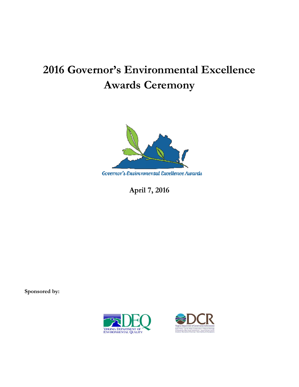# **2016 Governor's Environmental Excellence Awards Ceremony**



**April 7, 2016**

**Sponsored by:** 

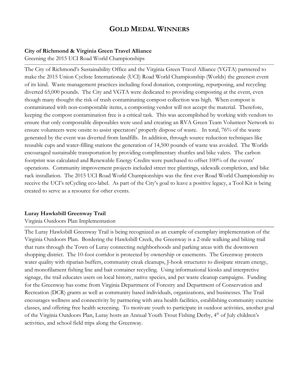# **GOLD MEDAL WINNERS**

## **City of Richmond & Virginia Green Travel Alliance**

Greening the 2015 UCI Road World Championships

The City of Richmond's Sustainability Office and the Virginia Green Travel Alliance (VGTA) partnered to make the 2015 Union Cycliste Internationale (UCI) Road World Championship (Worlds) the greenest event of its kind. Waste management practices including food donation, composting, repurposing, and recycling diverted 65,000 pounds. The City and VGTA were dedicated to providing composting at the event, even though many thought the risk of trash contaminating compost collection was high. When compost is contaminated with non-compostable items, a composting vendor will not accept the material. Therefore, keeping the compost contamination free is a critical task. This was accomplished by working with vendors to ensure that only compostable disposables were used and creating an RVA Green Team Volunteer Network to ensure volunteers were onsite to assist spectators' properly dispose of waste. In total, 76% of the waste generated by the event was diverted from landfills. In addition, through source reduction techniques like reusable cups and water-filling stations the generation of 14,500 pounds of waste was avoided. The Worlds encouraged sustainable transportation by providing complimentary shuttles and bike valets. The carbon footprint was calculated and Renewable Energy Credits were purchased to offset 100% of the events' operations. Community improvement projects included street tree plantings, sidewalk completion, and bike rack installation. The 2015 UCI Road World Championships was the first ever Road World Championship to receive the UCI's reCycling eco-label. As part of the City's goal to leave a positive legacy, a Tool Kit is being created to serve as a resource for other events.

# **Luray Hawksbill Greenway Trail**

### Virginia Outdoors Plan Implementation

The Luray Hawksbill Greenway Trail is being recognized as an example of exemplary implementation of the Virginia Outdoors Plan. Bordering the Hawksbill Creek, the Greenway is a 2-mile walking and biking trail that runs through the Town of Luray connecting neighborhoods and parking areas with the downtown shopping district. The 10-foot corridor is protected by ownership or easements. The Greenway protects water quality with riparian buffers, community creak cleanups, J-hook structures to dissipate stream energy, and monofilament fishing line and bait container recycling. Using informational kiosks and interpretive signage, the trail educates users on local history, native species, and pet waste cleanup campaigns. Funding for the Greenway has come from Virginia Department of Forestry and Department of Conservation and Recreation (DCR) grants as well as community based individuals, organizations, and businesses. The Trail encourages wellness and connectivity by partnering with area health facilities, establishing community exercise classes, and offering free health screening. To motivate youth to participate in outdoor activities, another goal of the Virginia Outdoors Plan, Luray hosts an Annual Youth Trout Fishing Derby, 4<sup>th</sup> of July children's activities, and school field trips along the Greenway.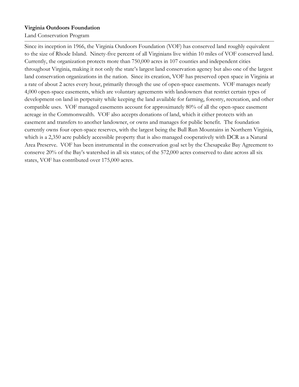## **Virginia Outdoors Foundation**

Land Conservation Program

Since its inception in 1966, the Virginia Outdoors Foundation (VOF) has conserved land roughly equivalent to the size of Rhode Island. Ninety-five percent of all Virginians live within 10 miles of VOF conserved land. Currently, the organization protects more than 750,000 acres in 107 counties and independent cities throughout Virginia, making it not only the state's largest land conservation agency but also one of the largest land conservation organizations in the nation. Since its creation, VOF has preserved open space in Virginia at a rate of about 2 acres every hour, primarily through the use of open-space easements. VOF manages nearly 4,000 open-space easements, which are voluntary agreements with landowners that restrict certain types of development on land in perpetuity while keeping the land available for farming, forestry, recreation, and other compatible uses. VOF managed easements account for approximately 80% of all the open-space easement acreage in the Commonwealth. VOF also accepts donations of land, which it either protects with an easement and transfers to another landowner, or owns and manages for public benefit. The foundation currently owns four open-space reserves, with the largest being the Bull Run Mountains in Northern Virginia, which is a 2,350 acre publicly accessible property that is also managed cooperatively with DCR as a Natural Area Preserve. VOF has been instrumental in the conservation goal set by the Chesapeake Bay Agreement to conserve 20% of the Bay's watershed in all six states; of the 572,000 acres conserved to date across all six states, VOF has contributed over 175,000 acres.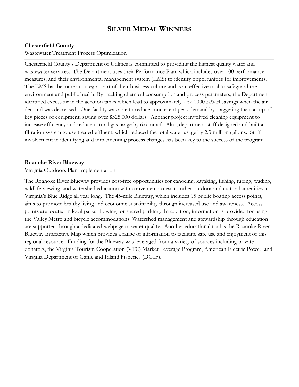# **SILVER MEDAL WINNERS**

### **Chesterfield County**

#### Wastewater Treatment Process Optimization

Chesterfield County's Department of Utilities is committed to providing the highest quality water and wastewater services. The Department uses their Performance Plan, which includes over 100 performance measures, and their environmental management system (EMS) to identify opportunities for improvements. The EMS has become an integral part of their business culture and is an effective tool to safeguard the environment and public health. By tracking chemical consumption and process parameters, the Department identified excess air in the aeration tanks which lead to approximately a 520,000 KWH savings when the air demand was decreased. One facility was able to reduce concurrent peak demand by staggering the startup of key pieces of equipment, saving over \$325,000 dollars. Another project involved cleaning equipment to increase efficiency and reduce natural gas usage by 6.6 mmcf. Also, department staff designed and built a filtration system to use treated effluent, which reduced the total water usage by 2.3 million gallons. Staff involvement in identifying and implementing process changes has been key to the success of the program.

#### **Roanoke River Blueway**

#### Virginia Outdoors Plan Implementation

The Roanoke River Blueway provides cost-free opportunities for canoeing, kayaking, fishing, tubing, wading, wildlife viewing, and watershed education with convenient access to other outdoor and cultural amenities in Virginia's Blue Ridge all year long. The 45-mile Blueway, which includes 15 public boating access points, aims to promote healthy living and economic sustainability through increased use and awareness. Access points are located in local parks allowing for shared parking. In addition, information is provided for using the Valley Metro and bicycle accommodations. Watershed management and stewardship through education are supported through a dedicated webpage to water quality. Another educational tool is the Roanoke River Blueway Interactive Map which provides a range of information to facilitate safe use and enjoyment of this regional resource. Funding for the Blueway was leveraged from a variety of sources including private donators, the Virginia Tourism Cooperation (VTC) Market Leverage Program, American Electric Power, and Virginia Department of Game and Inland Fisheries (DGIF).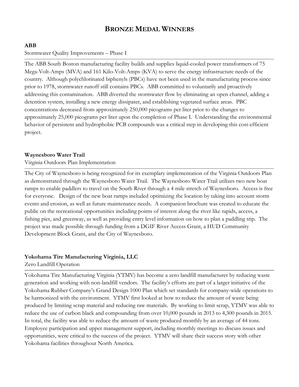# **BRONZE MEDAL WINNERS**

## **ABB**

### Stormwater Quality Improvements – Phase I

The ABB South Boston manufacturing facility builds and supplies liquid-cooled power transformers of 75 Mega-Volt-Amps (MVA) and 161 Kilo-Volt-Amps (KVA) to serve the energy infrastructure needs of the country. Although polychlorinated biphenyls (PBCs) have not been used in the manufacturing process since prior to 1978, stormwater runoff still contains PBCs. ABB committed to voluntarily and proactively addressing this contamination. ABB diverted the stormwater flow by eliminating an open channel, adding a detention system, installing a new energy dissipater, and establishing vegetated surface areas. PBC concentrations decreased from approximately 250,000 picograms per liter prior to the changes to approximately 25,000 picograms per liter upon the completion of Phase I. Understanding the environmental behavior of persistent and hydrophobic PCB compounds was a critical step in developing this cost-efficient project.

### **Waynesboro Water Trail**

### Virginia Outdoors Plan Implementation

The City of Waynesboro is being recognized for its exemplary implementation of the Virginia Outdoors Plan as demonstrated through the Waynesboro Water Trail. The Waynesboro Water Trail utilizes two new boat ramps to enable paddlers to travel on the South River through a 4 mile stretch of Waynesboro. Access is free for everyone. Design of the new boat ramps included optimizing the location by taking into account storm events and erosion, as well as future maintenance needs. A companion brochure was created to educate the public on the recreational opportunities including points of interest along the river like rapids, access, a fishing pier, and greenway, as well as providing entry level information on how to plan a paddling trip. The project was made possible through funding from a DGIF River Access Grant, a HUD Community Development Block Grant, and the City of Waynesboro.

### **Yokohama Tire Manufacturing Virginia, LLC**

Zero Landfill Operation

Yokohama Tire Manufacturing Virginia (YTMV) has become a zero landfill manufacturer by reducing waste generation and working with non-landfill vendors. The facility's efforts are part of a larger initiative of the Yokohama Rubber Company's Grand Design 1000 Plan which set standards for company-wide operations to be harmonized with the environment. YTMV first looked at how to reduce the amount of waste being produced by limiting scrap material and reducing raw materials. By working to limit scrap, YTMV was able to reduce the use of carbon black and compounding from over 10,000 pounds in 2013 to 4,300 pounds in 2015. In total, the facility was able to reduce the amount of waste produced monthly by an average of 44 tons. Employee participation and upper management support, including monthly meetings to discuss issues and opportunities, were critical to the success of the project. YTMV will share their success story with other Yokohama facilities throughout North America.